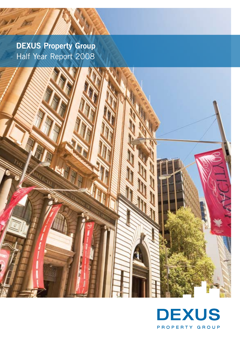**DEXUS Property Group** Half Year Report 2008

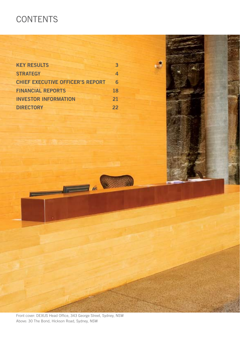# **CONTENTS**

| <b>KEY RESULTS</b>                      | 3  |
|-----------------------------------------|----|
| <b>STRATEGY</b>                         | 4  |
| <b>CHIEF EXECUTIVE OFFICER'S REPORT</b> | 6  |
| <b>FINANCIAL REPORTS</b>                | 18 |
| <b>INVESTOR INFORMATION</b>             | 21 |
| <b>DIRECTORY</b>                        | 22 |

Front cover: DEXUS Head Office, 343 George Street, Sydney, NSW Above: 30 The Bond, Hickson Road, Sydney, NSW

<u> Transformation and the second second in the second second second in the second second second in the second second second second second second second second second second second second second second second second second s</u>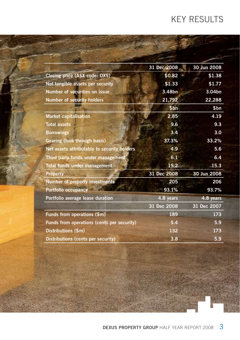# Key results

|                                             | 31 Dec 2008 | 30 Jun 2008 |
|---------------------------------------------|-------------|-------------|
| Closing price (ASX code: DXS)               | \$0.82      | \$1.38      |
| Net tangible assets per security            | \$1.33      | \$1.77      |
| <b>Number of securities on issue</b>        | 3.48bn      | 3.04bn      |
| <b>Number of security holders</b>           | 21,792      | 22,288      |
|                                             | \$bn        | \$bn        |
| <b>Market capitalisation</b>                | 2.85        | 4.19        |
| <b>Total assets</b>                         | 9.6         | 9.3         |
| <b>Borrowings</b>                           | 3.4         | 3.0         |
| <b>Gearing (look through basis)</b>         | 37.3%       | 33.2%       |
| Net assets attributable to security holders | 4.9         | 5.6         |
| Third party funds under management          | 6.1         | 6.4         |
| Total funds under management                | 15.2        | 15.3        |
| <b>Property</b>                             | 31 Dec 2008 | 30 Jun 2008 |
| Number of property investments              | 205         | 206         |
| Portfolio occupancy                         | 93.1%       | 93.7%       |
| Portfolio average lease duration            | 4.8 years   | 4.8 years   |
|                                             | 31 Dec 2008 | 31 Dec 2007 |
| Funds from operations (\$m)                 | 189         | 173         |
| Funds from operations (cents per security)  | 5.4         | 5.9         |
| Distributions (\$m)                         | 132         | 173         |
| Distributions (cents per security)          | 3.8         | 5.9         |

**DEXUS Property Group** Half Year Report 2008 3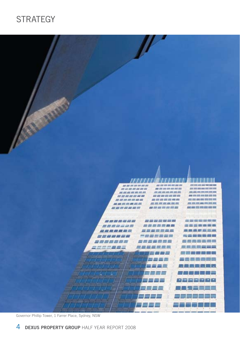# **STRATEGY**



Governor Phillip Tower, 1 Farrer Place, Sydney, NSW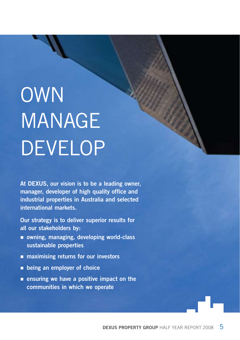# **OWN MANAGE DEVELOP**

**At DEXUS, our vision is to be a leading owner, manager, developer of high quality office and industrial properties in Australia and selected international markets.** 

**Our strategy is to deliver superior results for all our stakeholders by:**

- **owning, managing, developing world-class sustainable properties**
- **maximising returns for our investors**
- **being an employer of choice**
- **ensuring we have a positive impact on the communities in which we operate**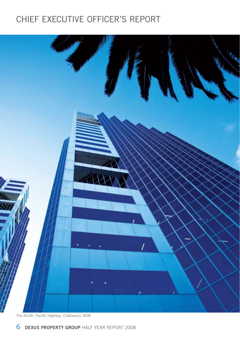# chief executive officer's report



The Zenith, Pacific Highway, Chatswood, NSW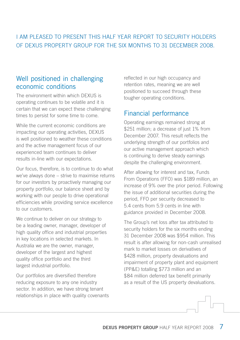### I AM PLEASED TO PRESENT THIS HALF YEAR REPORT TO SECURITY HOLDERS OF DEXUS PROPERTY GROUP FOR THE SIX MONTHS TO 31 DECEMBER 2008.

### Well positioned in challenging economic conditions

The environment within which DEXUS is operating continues to be volatile and it is certain that we can expect these challenging times to persist for some time to come.

While the current economic conditions are impacting our operating activities, DEXUS is well positioned to weather these conditions and the active management focus of our experienced team continues to deliver results in-line with our expectations.

Our focus, therefore, is to continue to do what we've always done – strive to maximise returns for our investors by proactively managing our property portfolio, our balance sheet and by working with our people to drive operational efficiencies while providing service excellence to our customers.

We continue to deliver on our strategy to be a leading owner, manager, developer of high quality office and industrial properties in key locations in selected markets. In Australia we are the owner, manager, developer of the largest and highest quality office portfolio and the third largest industrial portfolio.

Our portfolios are diversified therefore reducing exposure to any one industry sector. In addition, we have strong tenant relationships in place with quality covenants reflected in our high occupancy and retention rates, meaning we are well positioned to succeed through these tougher operating conditions.

### Financial performance

Operating earnings remained strong at \$251 million: a decrease of just 1% from December 2007. This result reflects the underlying strength of our portfolios and our active management approach which is continuing to derive steady earnings despite the challenging environment.

After allowing for interest and tax, Funds From Operations (FFO) was \$189 million, an increase of 9% over the prior period. Following the issue of additional securities during the period, FFO per security decreased to 5.4 cents from 5.9 cents in line with guidance provided in December 2008.

The Group's net loss after tax attributed to security holders for the six months ending 31 December 2008 was \$954 million. This result is after allowing for non-cash unrealised mark to market losses on derivatives of \$428 million, property devaluations and impairment of property plant and equipment (PP&E) totalling \$773 million and an \$84 million deferred tax benefit primarily as a result of the US property devaluations.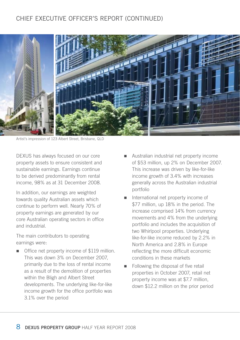# chief executive officer's report (continued)



Artist's impression of 123 Albert Street, Brisbane, QLD

DEXUS has always focused on our core property assets to ensure consistent and sustainable earnings. Earnings continue to be derived predominantly from rental income, 98% as at 31 December 2008.

In addition, our earnings are weighted towards quality Australian assets which continue to perform well. Nearly 70% of property earnings are generated by our core Australian operating sectors in office and industrial.

The main contributors to operating earnings were:

■ Office net property income of \$119 million. This was down 3% on December 2007, primarily due to the loss of rental income as a result of the demolition of properties within the Bligh and Albert Street developments. The underlying like-for-like income growth for the office portfolio was 3.1% over the period

- Australian industrial net property income of \$53 million, up 2% on December 2007. This increase was driven by like-for-like income growth of 3.4% with increases generally across the Australian industrial portfolio
- n International net property income of \$77 million, up 18% in the period. The increase comprised 14% from currency movements and 4% from the underlying portfolio and includes the acquisition of two Whirlpool properties. Underlying like-for-like income reduced by 2.2% in North America and 2.8% in Europe reflecting the more difficult economic conditions in these markets
- Following the disposal of five retail properties in October 2007, retail net property income was at \$7.7 million, down \$12.2 million on the prior period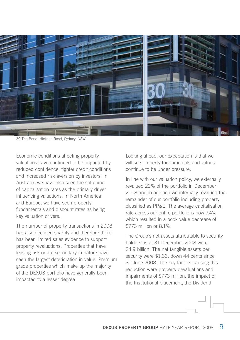

30 The Bond, Hickson Road, Sydney, NSW

Economic conditions affecting property valuations have continued to be impacted by reduced confidence, tighter credit conditions and increased risk aversion by investors. In Australia, we have also seen the softening of capitalisation rates as the primary driver influencing valuations. In North America and Europe, we have seen property fundamentals and discount rates as being key valuation drivers.

The number of property transactions in 2008 has also declined sharply and therefore there has been limited sales evidence to support property revaluations. Properties that have leasing risk or are secondary in nature have seen the largest deterioration in value. Premium grade properties which make up the majority of the DEXUS portfolio have generally been impacted to a lesser degree.

Looking ahead, our expectation is that we will see property fundamentals and values continue to be under pressure.

In line with our valuation policy, we externally revalued 22% of the portfolio in December 2008 and in addition we internally revalued the remainder of our portfolio including property classified as PP&E. The average capitalisation rate across our entire portfolio is now 7.4% which resulted in a book value decrease of \$773 million or 8.1%.

The Group's net assets attributable to security holders as at 31 December 2008 were \$4.9 billion. The net tangible assets per security were \$1.33, down 44 cents since 30 June 2008. The key factors causing this reduction were property devaluations and impairments of \$773 million, the impact of the Institutional placement, the Dividend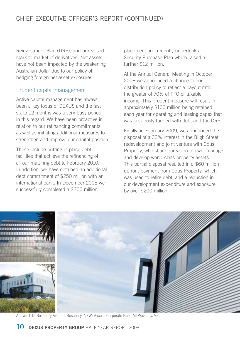# chief executive officer's report (continued)

Reinvestment Plan (DRP), and unrealised mark to market of derivatives. Net assets have not been impacted by the weakening Australian dollar due to our policy of hedging foreign net asset exposures.

### Prudent capital management

Active capital management has always been a key focus of DEXUS and the last six to 12 months was a very busy period in this regard. We have been proactive in relation to our refinancing commitments as well as initiating additional measures to strengthen and improve our capital position.

These include putting in place debt facilities that achieve the refinancing of all our maturing debt to February 2010. In addition, we have obtained an additional debt commitment of \$250 million with an international bank. In December 2008 we successfully completed a \$300 million

placement and recently undertook a Security Purchase Plan which raised a further \$12 million.

At the Annual General Meeting in October 2008 we announced a change to our distribution policy to reflect a payout ratio the greater of 70% of FFO or taxable income. This prudent measure will result in approximately \$100 million being retained each year for operating and leasing capex that was previously funded with debt and the DRP.

Finally, in February 2009, we announced the disposal of a 33% interest in the Bligh Street redevelopment and joint venture with Cbus Property, who share our vision to own, manage and develop world-class property assets. This partial disposal resulted in a \$60 million upfront payment from Cbus Property, which was used to retire debt, and a reduction in our development expenditure and exposure by over \$200 million.



Above: 1-15 Rosebery Avenue, Rosebery, NSW; Axxess Corporate Park, Mt Waverley, VIC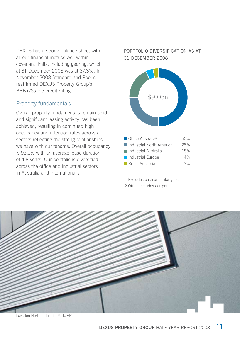DEXUS has a strong balance sheet with all our financial metrics well within covenant limits, including gearing, which at 31 December 2008 was at 37.3%. In November 2008 Standard and Poor's reaffirmed DEXUS Property Group's BBB+/Stable credit rating.

### Property fundamentals

Overall property fundamentals remain solid and significant leasing activity has been achieved, resulting in continued high occupancy and retention rates across all sectors reflecting the strong relationships we have with our tenants. Overall occupancy is 93.1% with an average lease duration of 4.8 years. Our portfolio is diversified across the office and industrial sectors in Australia and internationally.

### Portfolio diversification as at 31 December 2008



1 Excludes cash and intangibles.

2 Office includes car parks.



Laverton North Industrial Park, VIC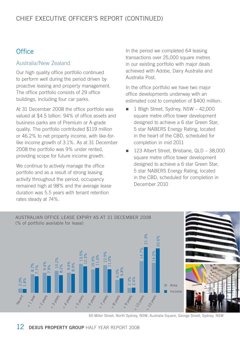# **Office**

### Australia/New Zealand

Our high quality office portfolio continued to perform well during the period driven by proactive leasing and property management. The office portfolio consists of 29 office buildings, including four car parks.

At 31 December 2008 the office portfolio was valued at \$4.5 billion. 94% of office assets and business parks are of Premium or A-grade quality. The portfolio contributed \$119 million or 46.2% to net property income, with like-forlike income growth of 3.1%. As at 31 December 2008 the portfolio was 9% under rented, providing scope for future income growth.

We continue to actively manage the office portfolio and as a result of strong leasing activity throughout the period, occupancy remained high at 98% and the average lease duration was 5.5 years with tenant retention rates steady at 74%.

In the period we completed 64 leasing transactions over 25,000 square metres in our existing portfolio with major deals achieved with Adobe, Dairy Australia and Australia Post.

In the office portfolio we have two major office developments underway with an estimated cost to completion of \$400 million:

- $\blacksquare$  1 Bligh Street, Sydney, NSW 42,000 square metre office tower development designed to achieve a 6 star Green Star, 5 star NABERS Energy Rating, located in the heart of the CBD, scheduled for completion in mid 2011
- n 123 Albert Street, Brisbane, QLD 38,000 square metre office tower development designed to achieve a 6 star Green Star, 5 star NABERS Energy Rating, located in the CBD, scheduled for completion in December 2010



60 Miller Street, North Sydney, NSW; Australia Square, George Street, Sydney, NSW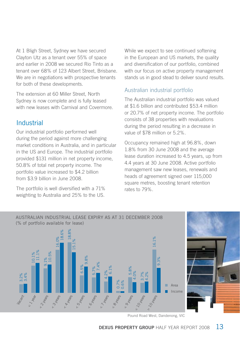At 1 Bligh Street, Sydney we have secured Clayton Utz as a tenant over 55% of space and earlier in 2008 we secured Rio Tinto as a tenant over 68% of 123 Albert Street, Brisbane. We are in negotiations with prospective tenants for both of these developments.

The extension at 60 Miller Street, North Sydney is now complete and is fully leased with new leases with Carnival and Covermore.

# Industrial

Our industrial portfolio performed well during the period against more challenging market conditions in Australia, and in particular in the US and Europe. The industrial portfolio provided \$131 million in net property income, 50.8% of total net property income. The portfolio value increased to \$4.2 billion from \$3.9 billion in June 2008.

The portfolio is well diversified with a 71% weighting to Australia and 25% to the US. While we expect to see continued softening in the European and US markets, the quality and diversification of our portfolio, combined with our focus on active property management stands us in good stead to deliver sound results.

### Australian industrial portfolio

The Australian industrial portfolio was valued at \$1.6 billion and contributed \$53.4 million or 20.7% of net property income. The portfolio consists of 38 properties with revaluations during the period resulting in a decrease in value of \$78 million or 5.2%.

Occupancy remained high at 96.8%, down 1.8% from 30 June 2008 and the average lease duration increased to 4.5 years, up from 4.4 years at 30 June 2008. Active portfolio management saw new leases, renewals and heads of agreement signed over 115,000 square metres, boosting tenant retention rates to 79%.



Pound Road West, Dandenong, VIC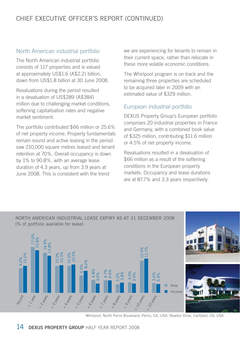# chief executive officer's report (continued)

### North American industrial portfolio

The North American industrial portfolio consists of 117 properties and is valued at approximately US\$1.6 (A\$2.2) billion, down from US\$1.8 billion at 30 June 2008.

Revaluations during the period resulted in a devaluation of US\$289 (A\$384) million due to challenging market conditions, softening capitalisation rates and negative market sentiment.

The portfolio contributed \$66 million or 25.6% of net property income. Property fundamentals remain sound and active leasing in the period saw 210,000 square metres leased and tenant retention at 70%. Overall occupancy is down by 1% to 90.8%, with an average lease duration of 4.3 years, up from 3.9 years at June 2008. This is consistent with the trend

we are experiencing for tenants to remain in their current space, rather than relocate in these more volatile economic conditions.

The Whirlpool program is on track and the remaining three properties are scheduled to be acquired later in 2009 with an estimated value of \$329 million.

### European industrial portfolio

DEXUS Property Group's European portfolio comprises 20 industrial properties in France and Germany, with a combined book value of \$325 million, contributing \$11.6 million or 4.5% of net property income.

Revaluations resulted in a devaluation of \$66 million as a result of the softening conditions in the European property markets. Occupancy and lease durations are at 87.7% and 3.3 years respectively.



Whirlpool, North Perris Boulevard, Perris, CA, USA; Newton Drive, Carlsbad, CA, USA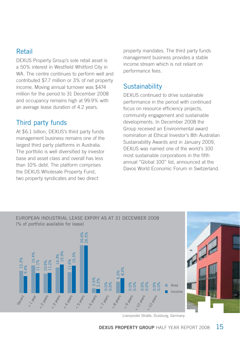# Retail

DEXUS Property Group's sole retail asset is a 50% interest in Westfield Whitford City in WA. The centre continues to perform well and contributed \$7.7 million or 3% of net property income. Moving annual turnover was \$474 million for the period to 31 December 2008 and occupancy remains high at 99.9% with an average lease duration of 4.2 years.

# Third party funds

At \$6.1 billion, DEXUS's third party funds management business remains one of the largest third party platforms in Australia. The portfolio is well diversified by investor base and asset class and overall has less than 10% debt. The platform comprises the DEXUS Wholesale Property Fund, two property syndicates and two direct

property mandates. The third party funds management business provides a stable income stream which is not reliant on performance fees.

# **Sustainability**

DEXUS continued to drive sustainable performance in the period with continued focus on resource efficiency projects, community engagement and sustainable developments. In December 2008 the Group received an Environmental award nomination at Ethical Investor's 8th Australian Sustainability Awards and in January 2009, DEXUS was named one of the world's 100 most sustainable corporations in the fifth annual "Global 100" list, announced at the Davos World Economic Forum in Switzerland.



Liverpooler Straße, Duisburg, Germany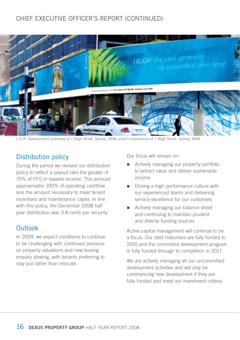# chief executive officer's report (continued)



L to R: Development underway at 1 Bligh Street, Sydney, NSW; artist's impressions of 1 Bligh Street, Sydney, NSW

### Distribution policy

During the period we revised our distribution policy to reflect a payout ratio the greater of 70% of FFO or taxable income. This amount approximates 100% of operating cashflow less the amount necessary to meet tenant incentives and maintenance capex. In line with this policy, the December 2008 half year distribution was 3.8 cents per security.

### **Outlook**

In 2009, we expect conditions to continue to be challenging with continued pressure on property valuations and new leasing enquiry slowing, with tenants preferring to stay put rather than relocate.

Our focus will remain on:

- Actively managing our property portfolio to extract value and deliver sustainable income
- $\blacksquare$  Driving a high performance culture with our experienced teams and delivering service excellence for our customers
- **n** Actively managing our balance sheet and continuing to maintain prudent and diverse funding sources

Active capital management will continue to be a focus. Our debt maturities are fully funded to 2010 and the committed development program is fully funded through to completion in 2011.

We are actively managing all our uncommitted development activities and will only be commencing new development if they are fully funded and meet our investment criteria.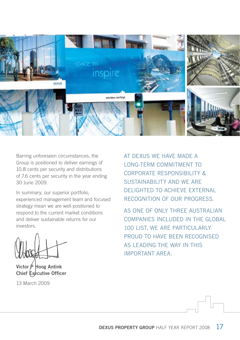

Barring unforeseen circumstances, the Group is positioned to deliver earnings of 10.8 cents per security and distributions of 7.6 cents per security in the year ending 30 June 2009.

In summary, our superior portfolio, experienced management team and focused strategy mean we are well-positioned to respond to the current market conditions and deliver sustainable returns for our investors.

**Victor P Hoog Antink Chief Executive Officer** 

13 March 2009

At DEXUS we have made a long-term commitment to Corporate Responsibility & SUSTAINABILITY AND WE ARE delighted to achieve external recognition of our progress.

As one of only three Australian companies included in the Global 100 list, we are particularly PROUD TO HAVE BEEN RECOGNISED as leading the way in this important area.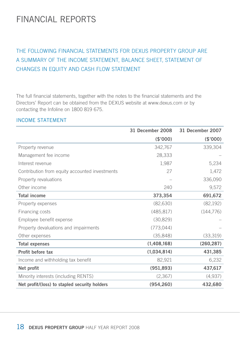# FINANCIAL REPORTS

# THE FOLLOWING FINANCIAL STATEMENTS FOR DEXUS PROPERTY GROUP ARE A SUMMARY OF THE INCOME STATEMENT, BALANCE SHEET, STATEMENT OF CHANGES IN EQUITY AND CASH FLOW STATEMENT

The full financial statements, together with the notes to the financial statements and the Directors' Report can be obtained from the DEXUS website at www.dexus.com or by contacting the Infoline on 1800 819 675.

### Income statement

|                                                | 31 December 2008 | 31 December 2007 |
|------------------------------------------------|------------------|------------------|
|                                                | (\$'000)         | (\$'000)         |
| Property revenue                               | 342,767          | 339,304          |
| Management fee income                          | 28,333           |                  |
| Interest revenue                               | 1,987            | 5,234            |
| Contribution from equity accounted investments | 27               | 1,472            |
| Property revaluations                          |                  | 336,090          |
| Other income                                   | 240              | 9,572            |
| <b>Total income</b>                            | 373,354          | 691,672          |
| Property expenses                              | (82, 630)        | (82, 192)        |
| Financing costs                                | (485, 817)       | (144, 776)       |
| Employee benefit expense                       | (30, 829)        |                  |
| Property devaluations and impairments          | (773, 044)       |                  |
| Other expenses                                 | (35,848)         | (33,319)         |
| <b>Total expenses</b>                          | (1,408,168)      | (260, 287)       |
| Profit before tax                              | (1,034,814)      | 431,385          |
| Income and withholding tax benefit             | 82,921           | 6,232            |
| Net profit                                     | (951, 893)       | 437,617          |
| Minority interests (including RENTS)           | (2,367)          | (4,937)          |
| Net profit/(loss) to stapled security holders  | (954, 260)       | 432,680          |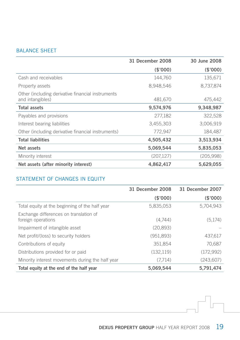### Balance sheet

|                                                                       | 31 December 2008 | 30 June 2008 |
|-----------------------------------------------------------------------|------------------|--------------|
|                                                                       | (S'000)          | (\$'000)     |
| Cash and receivables                                                  | 144,760          | 135,671      |
| Property assets                                                       | 8,948,546        | 8,737,874    |
| Other (including derivative financial instruments<br>and intangibles) | 481,670          | 475,442      |
| Total assets                                                          | 9,574,976        | 9,348,987    |
| Payables and provisions                                               | 277,182          | 322,528      |
| Interest bearing liabilities                                          | 3,455,303        | 3,006,919    |
| Other (including derivative financial instruments)                    | 772,947          | 184,487      |
| <b>Total liabilities</b>                                              | 4,505,432        | 3,513,934    |
| Net assets                                                            | 5,069,544        | 5,835,053    |
| Minority interest                                                     | (207, 127)       | (205,998)    |
| Net assets (after minority interest)                                  | 4,862,417        | 5,629,055    |

### STATEMENT OF CHANGES IN EQUITY

|                                                              | 31 December 2008 | 31 December 2007 |
|--------------------------------------------------------------|------------------|------------------|
|                                                              | (\$'000)         | (\$'000)         |
| Total equity at the beginning of the half year               | 5,835,053        | 5.704.943        |
| Exchange differences on translation of<br>foreign operations | (4.744)          | (5,174)          |
| Impairment of intangible asset                               | (20.893)         |                  |
| Net profit/(loss) to security holders                        | (951,893)        | 437,617          |
| Contributions of equity                                      | 351,854          | 70,687           |
| Distributions provided for or paid                           | (132, 119)       | (172,992)        |
| Minority interest movements during the half year             | (7.714)          | (243,607)        |
| Total equity at the end of the half year                     | 5,069,544        | 5,791,474        |

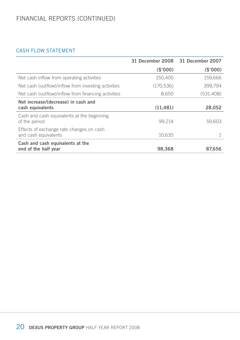# financial reports (continued)

### cash flow statement

|                                                                  | 31 December 2008 31 December 2007 |            |
|------------------------------------------------------------------|-----------------------------------|------------|
|                                                                  | (\$'000)                          | (\$'000)   |
| Net cash inflow from operating activities                        | 150,405                           | 159,666    |
| Net cash (outflow)/inflow from investing activities              | (170, 536)                        | 399,794    |
| Net cash (outflow)/inflow from financing activities              | 8,650                             | (531, 408) |
| Net increase/(decrease) in cash and                              |                                   |            |
| cash equivalents                                                 | (11, 481)                         | 28,052     |
| Cash and cash equivalents at the beginning<br>of the period      | 99,214                            | 59,603     |
| Effects of exchange rate changes on cash<br>and cash equivalents | 10,635                            |            |
| Cash and cash equivalents at the<br>end of the half year         | 98.368                            | 87.656     |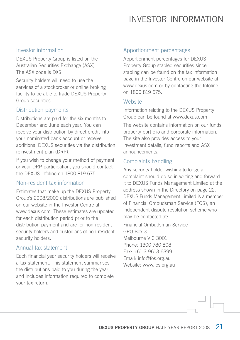# investor information

### Investor information

DEXUS Property Group is listed on the Australian Securities Exchange (ASX). The ASX code is DXS.

Security holders will need to use the services of a stockbroker or online broking facility to be able to trade DEXUS Property Group securities.

### Distribution payments

Distributions are paid for the six months to December and June each year. You can receive your distribution by direct credit into your nominated bank account or receive additional DEXUS securities via the distribution reinvestment plan (DRP).

If you wish to change your method of payment or your DRP participation, you should contact the DEXUS Infoline on 1800 819 675.

### Non-resident tax information

Estimates that make up the DEXUS Property Group's 2008/2009 distributions are published on our website in the Investor Centre at www.dexus.com. These estimates are updated for each distribution period prior to the distribution payment and are for non-resident security holders and custodians of non-resident security holders.

### Annual tax statement

Each financial year security holders will receive a tax statement. This statement summarises the distributions paid to you during the year and includes information required to complete your tax return.

### Apportionment percentages

Apportionment percentages for DEXUS Property Group stapled securities since stapling can be found on the tax information page in the Investor Centre on our website at www.dexus.com or by contacting the Infoline on 1800 819 675.

### **Website**

Information relating to the DEXUS Property Group can be found at www.dexus.com

The website contains information on our funds, property portfolio and corporate information. The site also provides access to your investment details, fund reports and ASX announcements.

### Complaints handling

Any security holder wishing to lodge a complaint should do so in writing and forward it to DEXUS Funds Management Limited at the address shown in the Directory on page 22. DEXUS Funds Management Limited is a member of Financial Ombudsman Service (FOS), an independent dispute resolution scheme who may be contacted at:

Financial Ombudsman Service GPO Box 3 Melbourne VIC 3001 Phone: 1300 780 808 Fax: +61 3 9613 6399 Email: info@fos.org.au Website: www.fos.org.au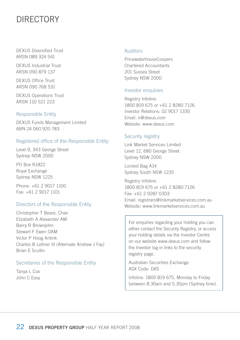# **DIRECTORY**

DEXUS Diversified Trust ARSN 089 324 541

DEXUS Industrial Trust ARSN 090 879 137

DEXUS Office Trust ARSN 090 768 531

DEXUS Operations Trust ARSN 110 521 223

#### Responsible Entity

DEXUS Funds Management Limited ABN 24 060 920 783

#### Registered office of the Responsible Entity

Level 9, 343 George Street Sydney NSW 2000

PO Box R1822 Royal Exchange Sydney NSW 1225

Phone: +61 2 9017 1100 Fax: +61 2 9017 1101

#### Directors of the Responsible Entity

Christopher T Beare, Chair Elizabeth A Alexander AM Barry R Brownjohn Stewart F Ewen OAM Victor P Hoog Antink Charles B Leitner III (Alternate Andrew J Fay) Brian E Scullin

#### Secretaries of the Responsible Entity

Tanya L Cox John C Easy

#### Auditors

PricewaterhouseCoopers Chartered Accountants 201 Sussex Street Sydney NSW 2000

#### Investor enquiries

Registry Infoline: 1800 819 675 or +61 2 8280 7126 Investor Relations: 02 9017 1330 Email: ir@dexus.com Website: www.dexus.com

#### Security registry

Link Market Services Limited Level 12, 680 George Street Sydney NSW 2000

Locked Bag A14 Sydney South NSW 1235

Registry Infoline: 1800 819 675 or +61 2 8280 7126 Fax: +61 2 9287 0303 Email: registrars@linkmarketservices.com.au Website: www.linkmarketservices.com.au.

For enquiries regarding your holding you can either contact the Security Registry, or access your holding details via the Investor Centre on our website www.dexus.com and follow the Investor log-in links to the security registry page.

Australian Securities Exchange ASX Code: DXS

Infoline: 1800 819 675, Monday to Friday between 8.30am and 5.30pm (Sydney time).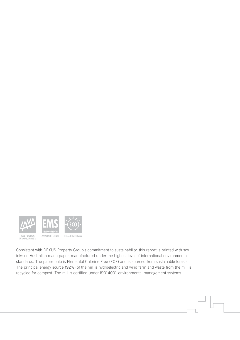

Consistent with DEXUS Property Group's commitment to sustainability, this report is printed with soy inks on Australian made paper, manufactured under the highest level of international environmental standards. The paper pulp is Elemental Chlorine Free (ECF) and is sourced from sustainable forests. The principal energy source (92%) of the mill is hydroelectric and wind farm and waste from the mill is recycled for compost. The mill is certified under ISO14001 environmental management systems.